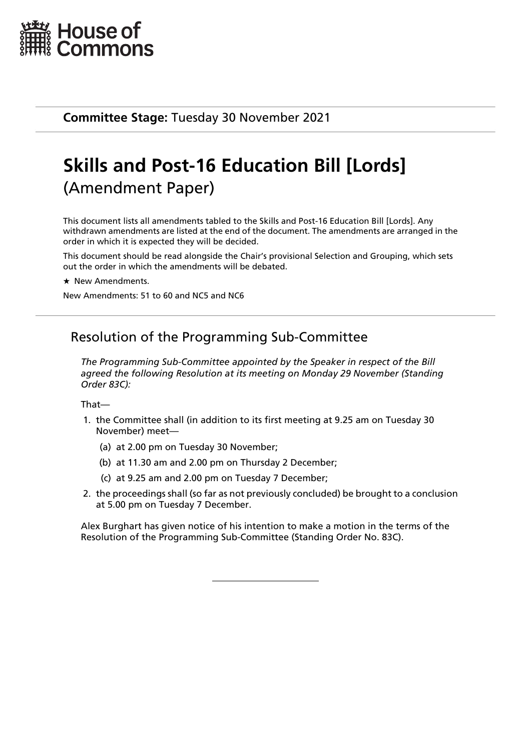

**Committee Stage:** Tuesday 30 November 2021

# **Skills and Post-16 Education Bill [Lords]** (Amendment Paper)

This document lists all amendments tabled to the Skills and Post-16 Education Bill [Lords]. Any withdrawn amendments are listed at the end of the document. The amendments are arranged in the order in which it is expected they will be decided.

This document should be read alongside the Chair's provisional Selection and Grouping, which sets out the order in which the amendments will be debated.

\* New Amendments

New Amendments: 51 to 60 and NC5 and NC6

## Resolution of the Programming Sub-Committee

*The Programming Sub-Committee appointed by the Speaker in respect of the Bill agreed the following Resolution at its meeting on Monday 29 November (Standing Order 83C):*

That—

- 1. the Committee shall (in addition to its first meeting at 9.25 am on Tuesday 30 November) meet—
	- (a) at 2.00 pm on Tuesday 30 November;
	- (b) at 11.30 am and 2.00 pm on Thursday 2 December;
	- (c) at 9.25 am and 2.00 pm on Tuesday 7 December;
- 2. the proceedings shall (so far as not previously concluded) be brought to a conclusion at 5.00 pm on Tuesday 7 December.

Alex Burghart has given notice of his intention to make a motion in the terms of the Resolution of the Programming Sub-Committee (Standing Order No. 83C).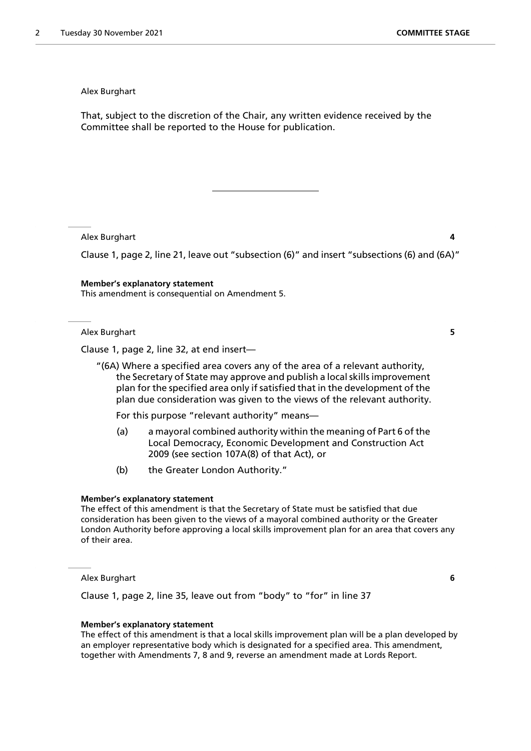That, subject to the discretion of the Chair, any written evidence received by the Committee shall be reported to the House for publication.

Alex Burghart **4**

Clause 1, page 2, line 21, leave out "subsection (6)" and insert "subsections (6) and (6A)"

**Member's explanatory statement** This amendment is consequential on Amendment 5.

Alex Burghart **5**

Clause 1, page 2, line 32, at end insert—

"(6A) Where a specified area covers any of the area of a relevant authority, the Secretary of State may approve and publish a local skills improvement plan for the specified area only if satisfied that in the development of the plan due consideration was given to the views of the relevant authority.

For this purpose "relevant authority" means—

- (a) a mayoral combined authority within the meaning of Part 6 of the Local Democracy, Economic Development and Construction Act 2009 (see section 107A(8) of that Act), or
- (b) the Greater London Authority."

#### **Member's explanatory statement**

The effect of this amendment is that the Secretary of State must be satisfied that due consideration has been given to the views of a mayoral combined authority or the Greater London Authority before approving a local skills improvement plan for an area that covers any of their area.

Alex Burghart **6**

Clause 1, page 2, line 35, leave out from "body" to "for" in line 37

#### **Member's explanatory statement**

The effect of this amendment is that a local skills improvement plan will be a plan developed by an employer representative body which is designated for a specified area. This amendment, together with Amendments 7, 8 and 9, reverse an amendment made at Lords Report.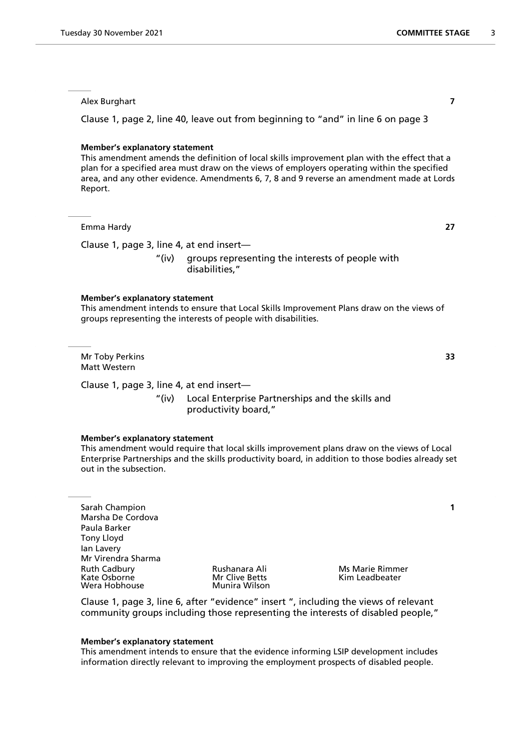Clause 1, page 2, line 40, leave out from beginning to "and" in line 6 on page 3

#### **Member's explanatory statement**

This amendment amends the definition of local skills improvement plan with the effect that a plan for a specified area must draw on the views of employers operating within the specified area, and any other evidence. Amendments 6, 7, 8 and 9 reverse an amendment made at Lords Report.

Emma Hardy **27**

Clause 1, page 3, line 4, at end insert—

"(iv) groups representing the interests of people with disabilities,"

#### **Member's explanatory statement**

This amendment intends to ensure that Local Skills Improvement Plans draw on the views of groups representing the interests of people with disabilities.

Mr Toby Perkins **33** Matt Western

Clause 1, page 3, line 4, at end insert—

"(iv) Local Enterprise Partnerships and the skills and productivity board,"

#### **Member's explanatory statement**

This amendment would require that local skills improvement plans draw on the views of Local Enterprise Partnerships and the skills productivity board, in addition to those bodies already set out in the subsection.

Sarah Champion **1** Marsha De Cordova Paula Barker Tony Lloyd Ian Lavery Mr Virendra Sharma Ruth Cadbury **Rushanara Ali** Ms Marie Rimmer Kate Osborne Mr Clive Betts Kim Leadbeater Wera Hobhouse

Clause 1, page 3, line 6, after "evidence" insert ", including the views of relevant community groups including those representing the interests of disabled people,"

#### **Member's explanatory statement**

This amendment intends to ensure that the evidence informing LSIP development includes information directly relevant to improving the employment prospects of disabled people.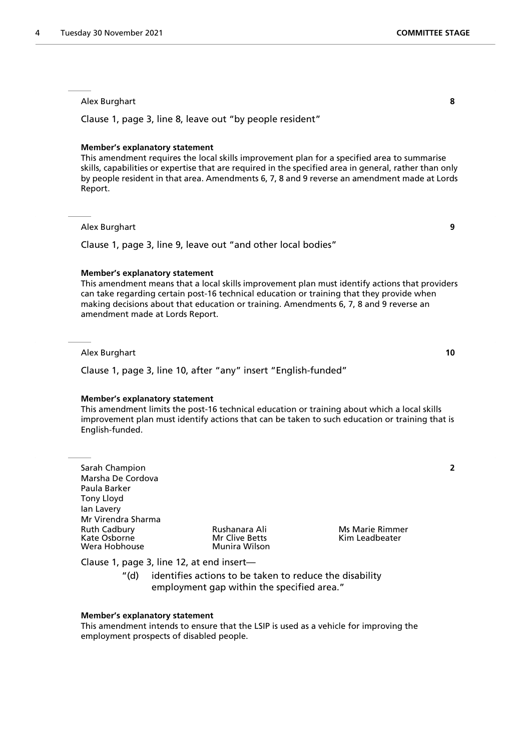Clause 1, page 3, line 8, leave out "by people resident"

#### **Member's explanatory statement**

This amendment requires the local skills improvement plan for a specified area to summarise skills, capabilities or expertise that are required in the specified area in general, rather than only by people resident in that area. Amendments 6, 7, 8 and 9 reverse an amendment made at Lords Report.

#### Alex Burghart **9**

Clause 1, page 3, line 9, leave out "and other local bodies"

#### **Member's explanatory statement**

This amendment means that a local skills improvement plan must identify actions that providers can take regarding certain post-16 technical education or training that they provide when making decisions about that education or training. Amendments 6, 7, 8 and 9 reverse an amendment made at Lords Report.

#### Alex Burghart **10**

Clause 1, page 3, line 10, after "any" insert "English-funded"

#### **Member's explanatory statement**

This amendment limits the post-16 technical education or training about which a local skills improvement plan must identify actions that can be taken to such education or training that is English-funded.

Sarah Champion **2** Marsha De Cordova Paula Barker Tony Lloyd Ian Lavery Mr Virendra Sharma Ruth Cadbury **Rushanara Ali** Ms Marie Rimmer<br>
Kate Osborne **Mr Clive Betts** Kim Leadbeater Wera Hobhouse

Mr Clive Betts **Mr Clive Betts** Kim Leadbeater<br>Munira Wilson

Clause 1, page 3, line 12, at end insert—

"(d) identifies actions to be taken to reduce the disability employment gap within the specified area."

#### **Member's explanatory statement**

This amendment intends to ensure that the LSIP is used as a vehicle for improving the employment prospects of disabled people.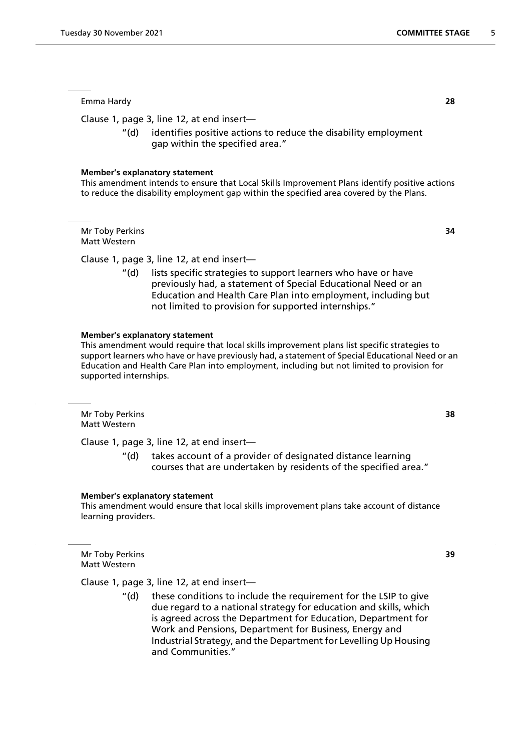#### Emma Hardy **28**

Clause 1, page 3, line 12, at end insert—

"(d) identifies positive actions to reduce the disability employment gap within the specified area."

#### **Member's explanatory statement**

This amendment intends to ensure that Local Skills Improvement Plans identify positive actions to reduce the disability employment gap within the specified area covered by the Plans.

Mr Toby Perkins **34** Matt Western

Clause 1, page 3, line 12, at end insert—

"(d) lists specific strategies to support learners who have or have previously had, a statement of Special Educational Need or an Education and Health Care Plan into employment, including but not limited to provision for supported internships."

#### **Member's explanatory statement**

This amendment would require that local skills improvement plans list specific strategies to support learners who have or have previously had, a statement of Special Educational Need or an Education and Health Care Plan into employment, including but not limited to provision for supported internships.

Mr Toby Perkins **38** Matt Western

Clause 1, page 3, line 12, at end insert—

"(d) takes account of a provider of designated distance learning courses that are undertaken by residents of the specified area."

#### **Member's explanatory statement**

This amendment would ensure that local skills improvement plans take account of distance learning providers.

Mr Toby Perkins **39** Matt Western

Clause 1, page 3, line 12, at end insert—

"(d) these conditions to include the requirement for the LSIP to give due regard to a national strategy for education and skills, which is agreed across the Department for Education, Department for Work and Pensions, Department for Business, Energy and Industrial Strategy, and the Department for Levelling Up Housing and Communities."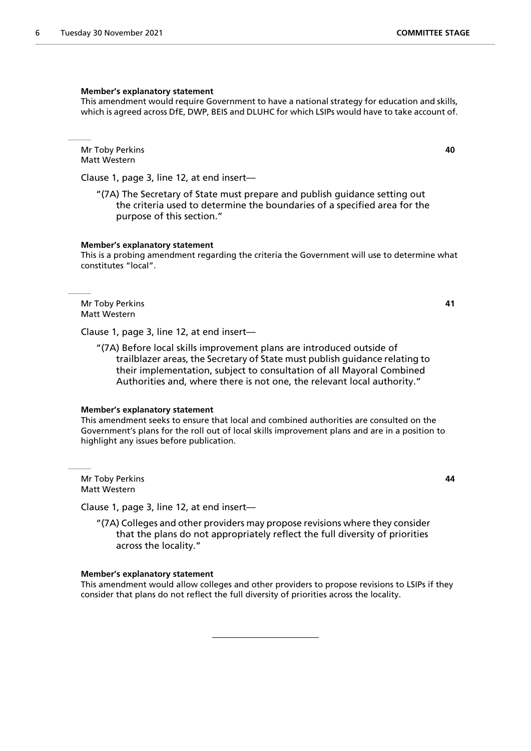#### **Member's explanatory statement**

This amendment would require Government to have a national strategy for education and skills, which is agreed across DfE, DWP, BEIS and DLUHC for which LSIPs would have to take account of.

Mr Toby Perkins **40** Matt Western

Clause 1, page 3, line 12, at end insert—

"(7A) The Secretary of State must prepare and publish guidance setting out the criteria used to determine the boundaries of a specified area for the purpose of this section."

#### **Member's explanatory statement**

This is a probing amendment regarding the criteria the Government will use to determine what constitutes "local".

Mr Toby Perkins **41** Matt Western

Clause 1, page 3, line 12, at end insert—

"(7A) Before local skills improvement plans are introduced outside of trailblazer areas, the Secretary of State must publish guidance relating to their implementation, subject to consultation of all Mayoral Combined Authorities and, where there is not one, the relevant local authority."

#### **Member's explanatory statement**

This amendment seeks to ensure that local and combined authorities are consulted on the Government's plans for the roll out of local skills improvement plans and are in a position to highlight any issues before publication.

Mr Toby Perkins **44** Matt Western

Clause 1, page 3, line 12, at end insert—

"(7A) Colleges and other providers may propose revisions where they consider that the plans do not appropriately reflect the full diversity of priorities across the locality."

#### **Member's explanatory statement**

This amendment would allow colleges and other providers to propose revisions to LSIPs if they consider that plans do not reflect the full diversity of priorities across the locality.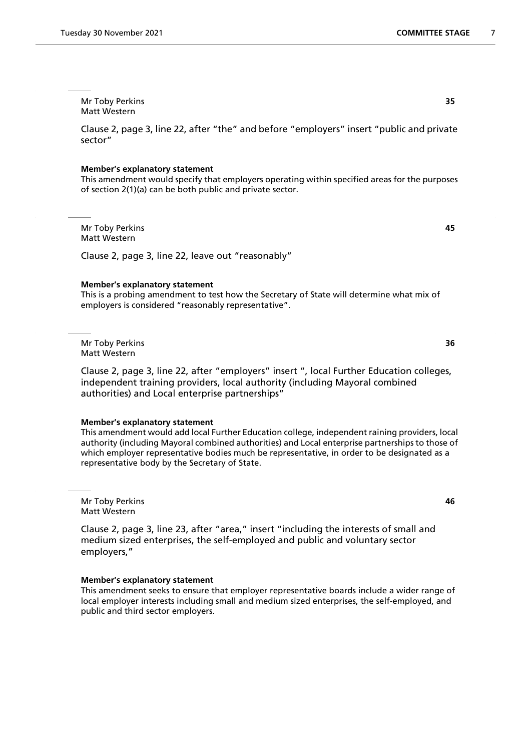Mr Toby Perkins **35** Matt Western

Clause 2, page 3, line 22, after "the" and before "employers" insert "public and private sector"

#### **Member's explanatory statement**

This amendment would specify that employers operating within specified areas for the purposes of section 2(1)(a) can be both public and private sector.

Mr Toby Perkins **45** Matt Western

Clause 2, page 3, line 22, leave out "reasonably"

#### **Member's explanatory statement**

This is a probing amendment to test how the Secretary of State will determine what mix of employers is considered "reasonably representative".

Mr Toby Perkins **36** Matt Western

Clause 2, page 3, line 22, after "employers" insert ", local Further Education colleges, independent training providers, local authority (including Mayoral combined authorities) and Local enterprise partnerships"

#### **Member's explanatory statement**

This amendment would add local Further Education college, independent raining providers, local authority (including Mayoral combined authorities) and Local enterprise partnerships to those of which employer representative bodies much be representative, in order to be designated as a representative body by the Secretary of State.

Mr Toby Perkins **46** Matt Western

Clause 2, page 3, line 23, after "area," insert "including the interests of small and medium sized enterprises, the self-employed and public and voluntary sector employers,"

#### **Member's explanatory statement**

This amendment seeks to ensure that employer representative boards include a wider range of local employer interests including small and medium sized enterprises, the self-employed, and public and third sector employers.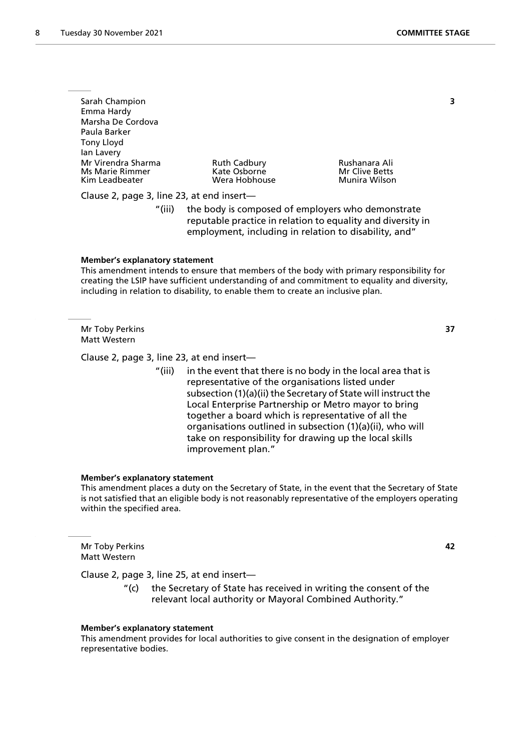| Sarah Champion<br>Emma Hardy<br>Marsha De Cordova<br>Paula Barker<br>Tony Lloyd<br>lan Lavery |                                                      |                                                  |  |
|-----------------------------------------------------------------------------------------------|------------------------------------------------------|--------------------------------------------------|--|
| Mr Virendra Sharma<br><b>Ms Marie Rimmer</b><br>Kim Leadbeater                                | <b>Ruth Cadbury</b><br>Kate Osborne<br>Wera Hobhouse | Rushanara Ali<br>Mr Clive Betts<br>Munira Wilson |  |
|                                                                                               |                                                      |                                                  |  |

Clause 2, page 3, line 23, at end insert—

"(iii) the body is composed of employers who demonstrate reputable practice in relation to equality and diversity in employment, including in relation to disability, and"

#### **Member's explanatory statement**

This amendment intends to ensure that members of the body with primary responsibility for creating the LSIP have sufficient understanding of and commitment to equality and diversity, including in relation to disability, to enable them to create an inclusive plan.

Mr Toby Perkins **37** Matt Western

Clause 2, page 3, line 23, at end insert—

"(iii) in the event that there is no body in the local area that is representative of the organisations listed under subsection (1)(a)(ii) the Secretary of State will instruct the Local Enterprise Partnership or Metro mayor to bring together a board which is representative of all the organisations outlined in subsection (1)(a)(ii), who will take on responsibility for drawing up the local skills improvement plan."

#### **Member's explanatory statement**

This amendment places a duty on the Secretary of State, in the event that the Secretary of State is not satisfied that an eligible body is not reasonably representative of the employers operating within the specified area.

Mr Toby Perkins **42** Matt Western

Clause 2, page 3, line 25, at end insert—

"(c) the Secretary of State has received in writing the consent of the relevant local authority or Mayoral Combined Authority."

#### **Member's explanatory statement**

This amendment provides for local authorities to give consent in the designation of employer representative bodies.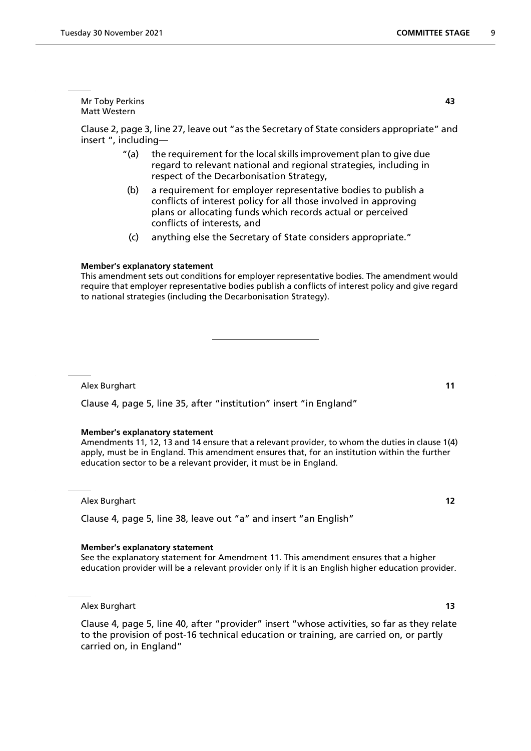Mr Toby Perkins **43** Matt Western

Clause 2, page 3, line 27, leave out "as the Secretary of State considers appropriate" and insert ", including—

- "(a) the requirement for the local skills improvement plan to give due regard to relevant national and regional strategies, including in respect of the Decarbonisation Strategy,
- (b) a requirement for employer representative bodies to publish a conflicts of interest policy for all those involved in approving plans or allocating funds which records actual or perceived conflicts of interests, and
- (c) anything else the Secretary of State considers appropriate."

#### **Member's explanatory statement**

This amendment sets out conditions for employer representative bodies. The amendment would require that employer representative bodies publish a conflicts of interest policy and give regard to national strategies (including the Decarbonisation Strategy).

Alex Burghart **11**

Clause 4, page 5, line 35, after "institution" insert "in England"

#### **Member's explanatory statement**

Amendments 11, 12, 13 and 14 ensure that a relevant provider, to whom the duties in clause 1(4) apply, must be in England. This amendment ensures that, for an institution within the further education sector to be a relevant provider, it must be in England.

Alex Burghart **12**

Clause 4, page 5, line 38, leave out "a" and insert "an English"

#### **Member's explanatory statement**

See the explanatory statement for Amendment 11. This amendment ensures that a higher education provider will be a relevant provider only if it is an English higher education provider.

Alex Burghart **13**

Clause 4, page 5, line 40, after "provider" insert "whose activities, so far as they relate to the provision of post-16 technical education or training, are carried on, or partly carried on, in England"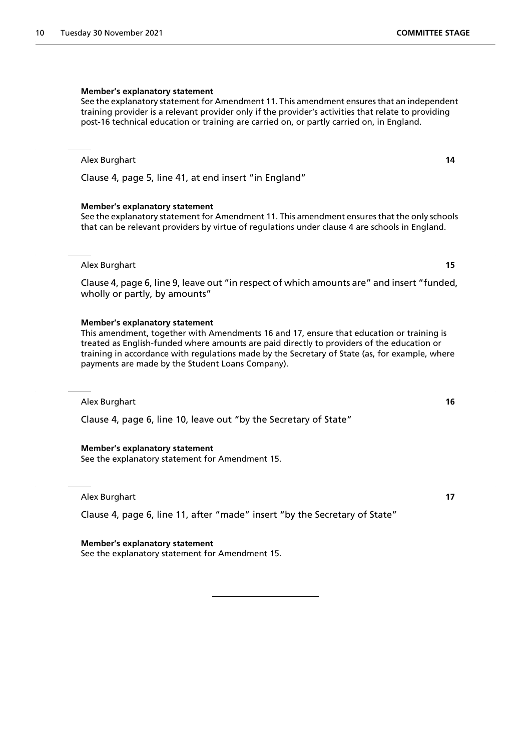#### **Member's explanatory statement**

See the explanatory statement for Amendment 11. This amendment ensures that an independent training provider is a relevant provider only if the provider's activities that relate to providing post-16 technical education or training are carried on, or partly carried on, in England.

#### Alex Burghart **14**

Clause 4, page 5, line 41, at end insert "in England"

#### **Member's explanatory statement**

See the explanatory statement for Amendment 11. This amendment ensures that the only schools that can be relevant providers by virtue of regulations under clause 4 are schools in England.

Alex Burghart **15**

Clause 4, page 6, line 9, leave out "in respect of which amounts are" and insert "funded, wholly or partly, by amounts"

#### **Member's explanatory statement**

This amendment, together with Amendments 16 and 17, ensure that education or training is treated as English-funded where amounts are paid directly to providers of the education or training in accordance with regulations made by the Secretary of State (as, for example, where payments are made by the Student Loans Company).

Alex Burghart **16**

Clause 4, page 6, line 10, leave out "by the Secretary of State"

#### **Member's explanatory statement**

See the explanatory statement for Amendment 15.

Alex Burghart **17**

Clause 4, page 6, line 11, after "made" insert "by the Secretary of State"

#### **Member's explanatory statement**

See the explanatory statement for Amendment 15.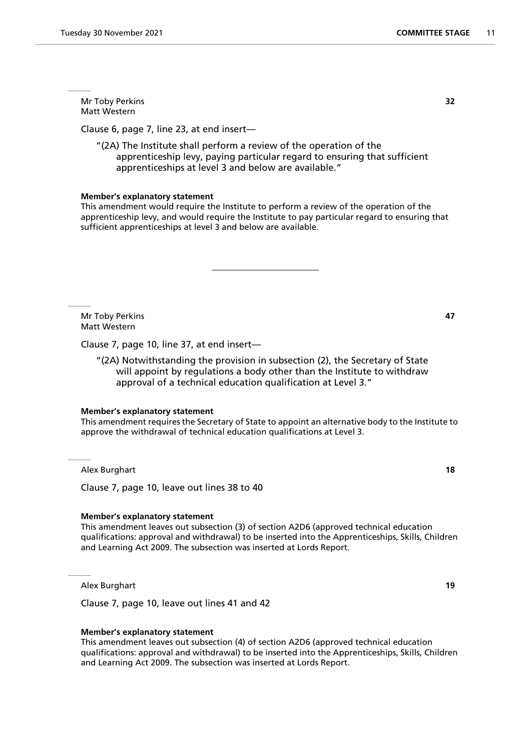Mr Toby Perkins **32** Matt Western

Clause 6, page 7, line 23, at end insert—

"(2A) The Institute shall perform a review of the operation of the apprenticeship levy, paying particular regard to ensuring that sufficient apprenticeships at level 3 and below are available."

#### **Member's explanatory statement**

This amendment would require the Institute to perform a review of the operation of the apprenticeship levy, and would require the Institute to pay particular regard to ensuring that sufficient apprenticeships at level 3 and below are available.

Mr Toby Perkins **47** Matt Western

Clause 7, page 10, line 37, at end insert—

"(2A) Notwithstanding the provision in subsection (2), the Secretary of State will appoint by regulations a body other than the Institute to withdraw approval of a technical education qualification at Level 3."

#### **Member's explanatory statement**

This amendment requires the Secretary of State to appoint an alternative body to the Institute to approve the withdrawal of technical education qualifications at Level 3.

Alex Burghart **18**

Clause 7, page 10, leave out lines 38 to 40

#### **Member's explanatory statement**

This amendment leaves out subsection (3) of section A2D6 (approved technical education qualifications: approval and withdrawal) to be inserted into the Apprenticeships, Skills, Children and Learning Act 2009. The subsection was inserted at Lords Report.

Alex Burghart **19**

Clause 7, page 10, leave out lines 41 and 42

#### **Member's explanatory statement**

This amendment leaves out subsection (4) of section A2D6 (approved technical education qualifications: approval and withdrawal) to be inserted into the Apprenticeships, Skills, Children and Learning Act 2009. The subsection was inserted at Lords Report.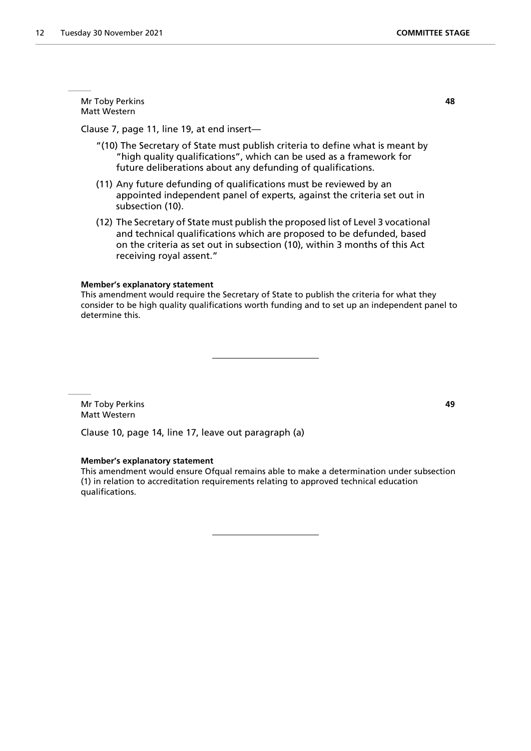Mr Toby Perkins **48** Matt Western

Clause 7, page 11, line 19, at end insert—

- "(10) The Secretary of State must publish criteria to define what is meant by "high quality qualifications", which can be used as a framework for future deliberations about any defunding of qualifications.
- (11) Any future defunding of qualifications must be reviewed by an appointed independent panel of experts, against the criteria set out in subsection (10).
- (12) The Secretary of State must publish the proposed list of Level 3 vocational and technical qualifications which are proposed to be defunded, based on the criteria as set out in subsection (10), within 3 months of this Act receiving royal assent."

#### **Member's explanatory statement**

This amendment would require the Secretary of State to publish the criteria for what they consider to be high quality qualifications worth funding and to set up an independent panel to determine this.

Mr Toby Perkins **49** Matt Western

Clause 10, page 14, line 17, leave out paragraph (a)

#### **Member's explanatory statement**

This amendment would ensure Ofqual remains able to make a determination under subsection (1) in relation to accreditation requirements relating to approved technical education qualifications.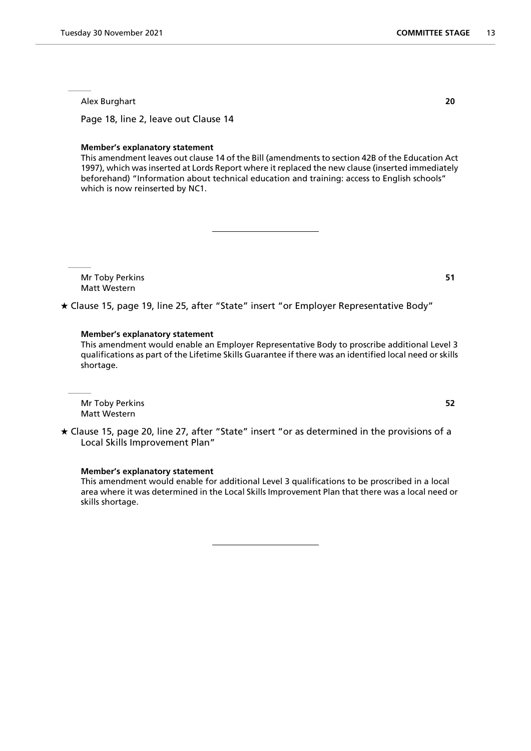Page 18, line 2, leave out Clause 14

#### **Member's explanatory statement**

This amendment leaves out clause 14 of the Bill (amendments to section 42B of the Education Act 1997), which was inserted at Lords Report where it replaced the new clause (inserted immediately beforehand) "Information about technical education and training: access to English schools" which is now reinserted by NC1.

Mr Toby Perkins **51** Matt Western

Clause 15, page 19, line 25, after "State" insert "or Employer Representative Body"

#### **Member's explanatory statement**

This amendment would enable an Employer Representative Body to proscribe additional Level 3 qualifications as part of the Lifetime Skills Guarantee if there was an identified local need or skills shortage.

Mr Toby Perkins **52** Matt Western

 Clause 15, page 20, line 27, after "State" insert "or as determined in the provisions of a Local Skills Improvement Plan"

#### **Member's explanatory statement**

This amendment would enable for additional Level 3 qualifications to be proscribed in a local area where it was determined in the Local Skills Improvement Plan that there was a local need or skills shortage.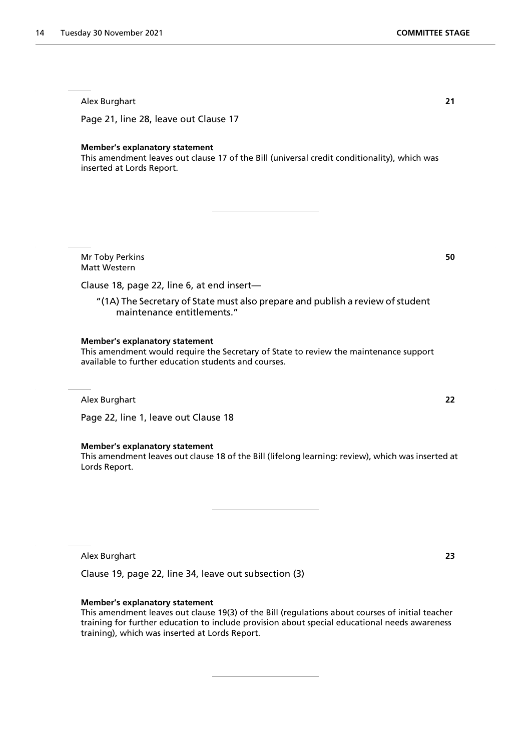Page 21, line 28, leave out Clause 17

#### **Member's explanatory statement**

This amendment leaves out clause 17 of the Bill (universal credit conditionality), which was inserted at Lords Report.

Mr Toby Perkins **50** Matt Western

Clause 18, page 22, line 6, at end insert—

"(1A) The Secretary of State must also prepare and publish a review of student maintenance entitlements."

#### **Member's explanatory statement**

This amendment would require the Secretary of State to review the maintenance support available to further education students and courses.

Alex Burghart **22**

Page 22, line 1, leave out Clause 18

#### **Member's explanatory statement**

This amendment leaves out clause 18 of the Bill (lifelong learning: review), which was inserted at Lords Report.

Alex Burghart **23**

Clause 19, page 22, line 34, leave out subsection (3)

#### **Member's explanatory statement**

This amendment leaves out clause 19(3) of the Bill (regulations about courses of initial teacher training for further education to include provision about special educational needs awareness training), which was inserted at Lords Report.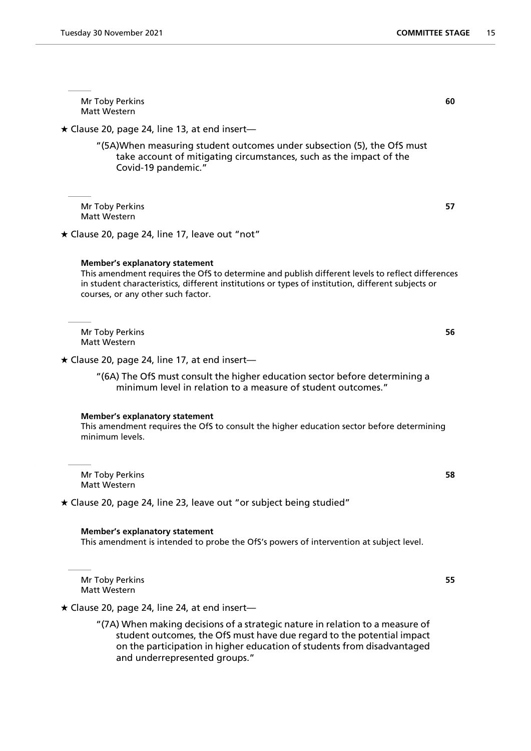Mr Toby Perkins **60** Matt Western  $\star$  Clause 20, page 24, line 13, at end insert— "(5A)When measuring student outcomes under subsection (5), the OfS must take account of mitigating circumstances, such as the impact of the Covid-19 pandemic." Mr Toby Perkins **57** Matt Western  $\star$  Clause 20, page 24, line 17, leave out "not" **Member's explanatory statement** This amendment requires the OfS to determine and publish different levels to reflect differences in student characteristics, different institutions or types of institution, different subjects or courses, or any other such factor. Mr Toby Perkins **56** Matt Western  $\star$  Clause 20, page 24, line 17, at end insert— "(6A) The OfS must consult the higher education sector before determining a minimum level in relation to a measure of student outcomes." **Member's explanatory statement** This amendment requires the OfS to consult the higher education sector before determining minimum levels. Mr Toby Perkins **58** Matt Western Clause 20, page 24, line 23, leave out "or subject being studied"

**Member's explanatory statement** This amendment is intended to probe the OfS's powers of intervention at subject level.

Mr Toby Perkins **55** Matt Western

 $\star$  Clause 20, page 24, line 24, at end insert-

"(7A) When making decisions of a strategic nature in relation to a measure of student outcomes, the OfS must have due regard to the potential impact on the participation in higher education of students from disadvantaged and underrepresented groups."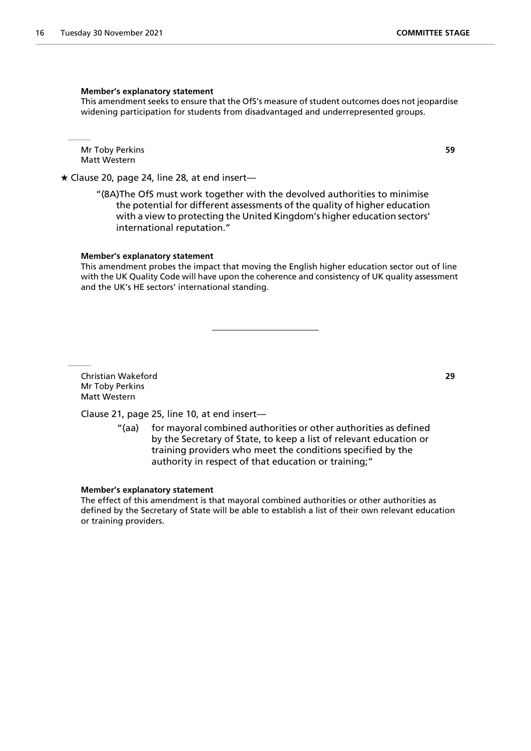#### **Member's explanatory statement**

This amendment seeks to ensure that the OfS's measure of student outcomes does not jeopardise widening participation for students from disadvantaged and underrepresented groups.

Mr Toby Perkins **59** Matt Western

 $\star$  Clause 20, page 24, line 28, at end insert-

"(8A)The OfS must work together with the devolved authorities to minimise the potential for different assessments of the quality of higher education with a view to protecting the United Kingdom's higher education sectors' international reputation."

#### **Member's explanatory statement**

This amendment probes the impact that moving the English higher education sector out of line with the UK Quality Code will have upon the coherence and consistency of UK quality assessment and the UK's HE sectors' international standing.

Christian Wakeford **29** Mr Toby Perkins Matt Western

Clause 21, page 25, line 10, at end insert—

"(aa) for mayoral combined authorities or other authorities as defined by the Secretary of State, to keep a list of relevant education or training providers who meet the conditions specified by the authority in respect of that education or training;"

#### **Member's explanatory statement**

The effect of this amendment is that mayoral combined authorities or other authorities as defined by the Secretary of State will be able to establish a list of their own relevant education or training providers.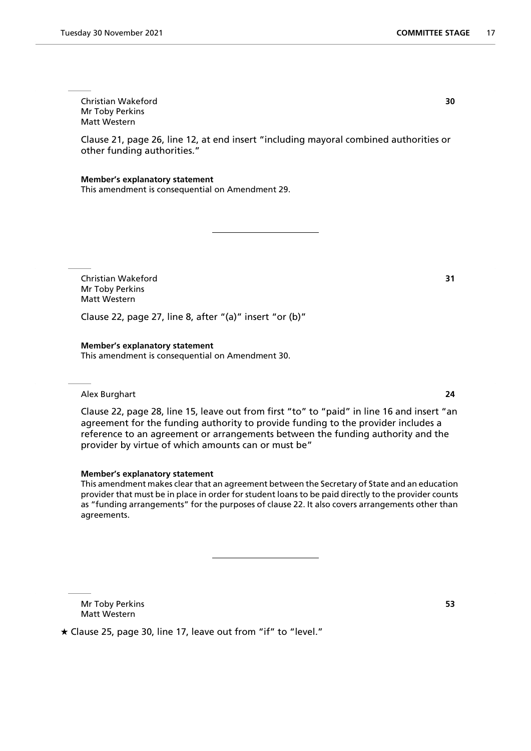Christian Wakeford **30** Mr Toby Perkins Matt Western

Clause 21, page 26, line 12, at end insert "including mayoral combined authorities or other funding authorities."

#### **Member's explanatory statement**

This amendment is consequential on Amendment 29.

Christian Wakeford **31** Mr Toby Perkins Matt Western

Clause 22, page 27, line 8, after "(a)" insert "or (b)"

#### **Member's explanatory statement**

This amendment is consequential on Amendment 30.

#### Alex Burghart **24**

Clause 22, page 28, line 15, leave out from first "to" to "paid" in line 16 and insert "an agreement for the funding authority to provide funding to the provider includes a reference to an agreement or arrangements between the funding authority and the provider by virtue of which amounts can or must be"

#### **Member's explanatory statement**

This amendment makes clear that an agreement between the Secretary of State and an education provider that must be in place in order for student loans to be paid directly to the provider counts as "funding arrangements" for the purposes of clause 22. It also covers arrangements other than agreements.

Mr Toby Perkins **53** Matt Western

Clause 25, page 30, line 17, leave out from "if" to "level."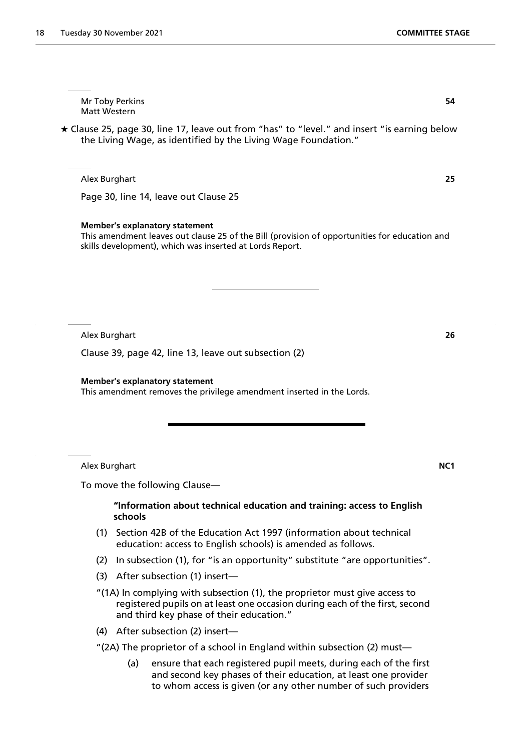Mr Toby Perkins **54** Matt Western

 Clause 25, page 30, line 17, leave out from "has" to "level." and insert "is earning below the Living Wage, as identified by the Living Wage Foundation."

Alex Burghart **25**

Page 30, line 14, leave out Clause 25

#### **Member's explanatory statement**

This amendment leaves out clause 25 of the Bill (provision of opportunities for education and skills development), which was inserted at Lords Report.

Alex Burghart **26**

Clause 39, page 42, line 13, leave out subsection (2)

**Member's explanatory statement**

This amendment removes the privilege amendment inserted in the Lords.

Alex Burghart **NC1**

To move the following Clause—

#### **"Information about technical education and training: access to English schools**

- (1) Section 42B of the Education Act 1997 (information about technical education: access to English schools) is amended as follows.
- (2) In subsection (1), for "is an opportunity" substitute "are opportunities".
- (3) After subsection (1) insert—
- "(1A) In complying with subsection (1), the proprietor must give access to registered pupils on at least one occasion during each of the first, second and third key phase of their education."
- (4) After subsection (2) insert—
- "(2A) The proprietor of a school in England within subsection (2) must—
	- (a) ensure that each registered pupil meets, during each of the first and second key phases of their education, at least one provider to whom access is given (or any other number of such providers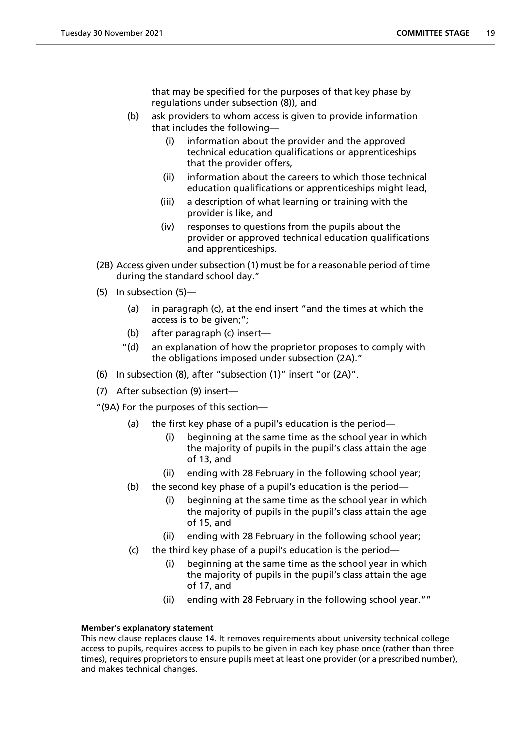that may be specified for the purposes of that key phase by regulations under subsection (8)), and

- (b) ask providers to whom access is given to provide information that includes the following—
	- (i) information about the provider and the approved technical education qualifications or apprenticeships that the provider offers,
	- (ii) information about the careers to which those technical education qualifications or apprenticeships might lead,
	- (iii) a description of what learning or training with the provider is like, and
	- (iv) responses to questions from the pupils about the provider or approved technical education qualifications and apprenticeships.
- (2B) Access given under subsection (1) must be for a reasonable period of time during the standard school day."
- (5) In subsection (5)—
	- (a) in paragraph (c), at the end insert "and the times at which the access is to be given:":
	- (b) after paragraph (c) insert—
	- "(d) an explanation of how the proprietor proposes to comply with the obligations imposed under subsection (2A)."
- (6) In subsection (8), after "subsection (1)" insert "or (2A)".
- (7) After subsection (9) insert—
- "(9A) For the purposes of this section—
	- (a) the first key phase of a pupil's education is the period—
		- (i) beginning at the same time as the school year in which the majority of pupils in the pupil's class attain the age of 13, and
		- (ii) ending with 28 February in the following school year;
	- (b) the second key phase of a pupil's education is the period—
		- (i) beginning at the same time as the school year in which the majority of pupils in the pupil's class attain the age of 15, and
		- (ii) ending with 28 February in the following school year;
	- (c) the third key phase of a pupil's education is the period—
		- (i) beginning at the same time as the school year in which the majority of pupils in the pupil's class attain the age of 17, and
		- (ii) ending with 28 February in the following school year.""

#### **Member's explanatory statement**

This new clause replaces clause 14. It removes requirements about university technical college access to pupils, requires access to pupils to be given in each key phase once (rather than three times), requires proprietors to ensure pupils meet at least one provider (or a prescribed number), and makes technical changes.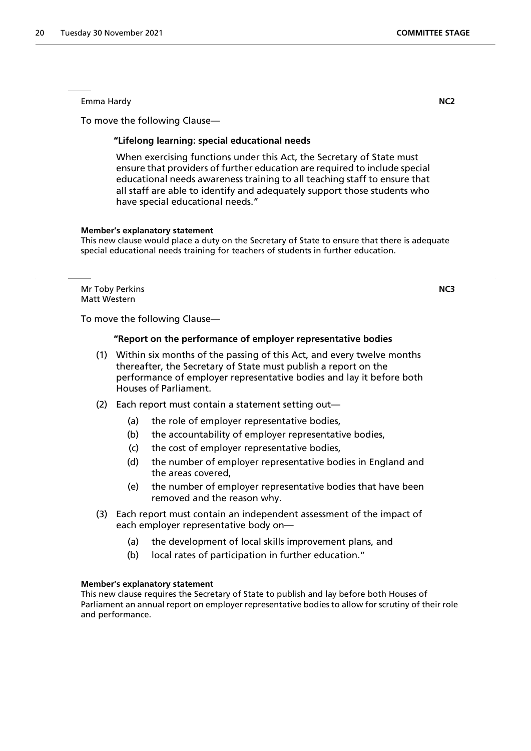Emma Hardy **NC2**

To move the following Clause—

#### **"Lifelong learning: special educational needs**

 When exercising functions under this Act, the Secretary of State must ensure that providers of further education are required to include special educational needs awareness training to all teaching staff to ensure that all staff are able to identify and adequately support those students who have special educational needs."

#### **Member's explanatory statement**

This new clause would place a duty on the Secretary of State to ensure that there is adequate special educational needs training for teachers of students in further education.

Mr Toby Perkins **NC3** Matt Western

To move the following Clause—

#### **"Report on the performance of employer representative bodies**

- (1) Within six months of the passing of this Act, and every twelve months thereafter, the Secretary of State must publish a report on the performance of employer representative bodies and lay it before both Houses of Parliament.
- (2) Each report must contain a statement setting out—
	- (a) the role of employer representative bodies,
	- (b) the accountability of employer representative bodies,
	- (c) the cost of employer representative bodies,
	- (d) the number of employer representative bodies in England and the areas covered,
	- (e) the number of employer representative bodies that have been removed and the reason why.
- (3) Each report must contain an independent assessment of the impact of each employer representative body on—
	- (a) the development of local skills improvement plans, and
	- (b) local rates of participation in further education."

#### **Member's explanatory statement**

This new clause requires the Secretary of State to publish and lay before both Houses of Parliament an annual report on employer representative bodies to allow for scrutiny of their role and performance.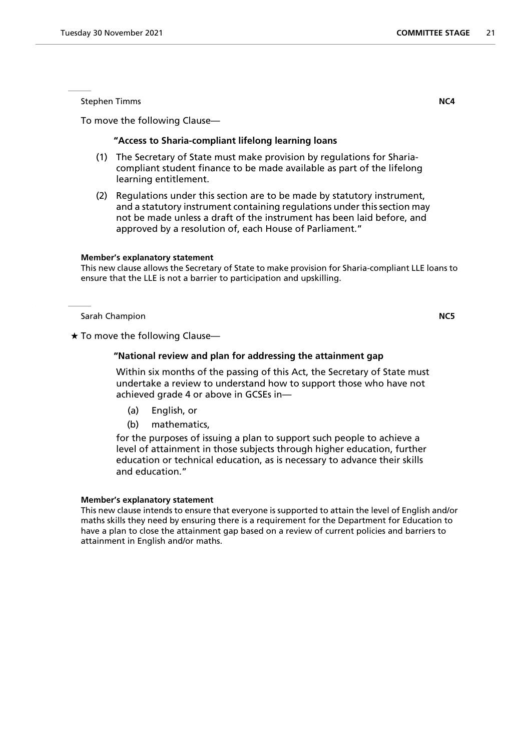Stephen Timms **NC4**

To move the following Clause—

#### **"Access to Sharia-compliant lifelong learning loans**

- (1) The Secretary of State must make provision by regulations for Shariacompliant student finance to be made available as part of the lifelong learning entitlement.
- (2) Regulations under this section are to be made by statutory instrument, and a statutory instrument containing regulations under this section may not be made unless a draft of the instrument has been laid before, and approved by a resolution of, each House of Parliament."

#### **Member's explanatory statement**

This new clause allows the Secretary of State to make provision for Sharia-compliant LLE loans to ensure that the LLE is not a barrier to participation and upskilling.

Sarah Champion **NC5**

 $\star$  To move the following Clause-

#### **"National review and plan for addressing the attainment gap**

 Within six months of the passing of this Act, the Secretary of State must undertake a review to understand how to support those who have not achieved grade 4 or above in GCSEs in—

- (a) English, or
- (b) mathematics,

for the purposes of issuing a plan to support such people to achieve a level of attainment in those subjects through higher education, further education or technical education, as is necessary to advance their skills and education."

#### **Member's explanatory statement**

This new clause intends to ensure that everyone is supported to attain the level of English and/or maths skills they need by ensuring there is a requirement for the Department for Education to have a plan to close the attainment gap based on a review of current policies and barriers to attainment in English and/or maths.